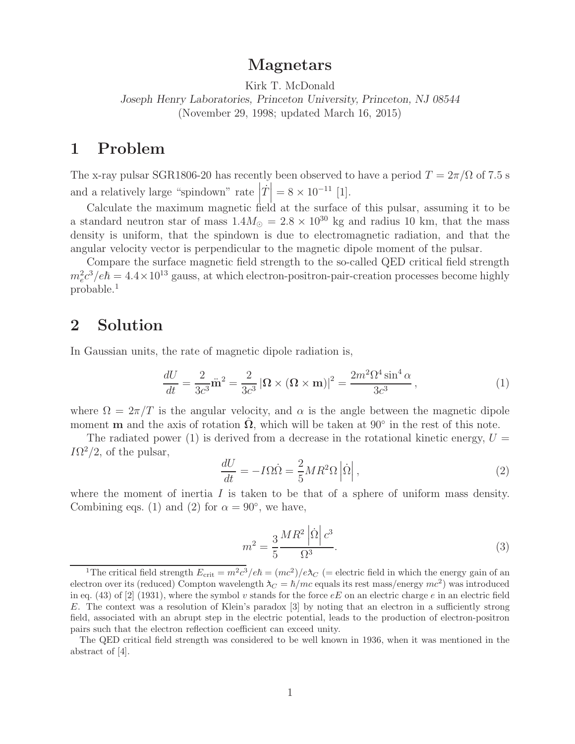# **Magnetars**

Kirk T. McDonald *Joseph Henry Laboratories, Princeton University, Princeton, NJ 08544* (November 29, 1998; updated March 16, 2015)

# **1 Problem**

The x-ray pulsar SGR1806-20 has recently been observed to have a period  $T = 2\pi/\Omega$  of 7.5 s and a relatively large "spindown" rate  $|\dot{T}| = 8 \times 10^{-11}$  [1].

Calculate the maximum magnetic field at the surface of this pulsar, assuming it to be a standard neutron star of mass  $1.4M_{\odot} = 2.8 \times 10^{30}$  kg and radius 10 km, that the mass density is uniform, that the spindown is due to electromagnetic radiation, and that the angular velocity vector is perpendicular to the magnetic dipole moment of the pulsar.

Compare the surface magnetic field strength to the so-called QED critical field strength  $m_e^2c^3/e\hbar = 4.4 \times 10^{13}$  gauss, at which electron-positron-pair-creation processes become highly probable.<sup>1</sup>

### **2 Solution**

In Gaussian units, the rate of magnetic dipole radiation is,

$$
\frac{dU}{dt} = \frac{2}{3c^3}\ddot{\mathbf{m}}^2 = \frac{2}{3c^3}|\mathbf{\Omega} \times (\mathbf{\Omega} \times \mathbf{m})|^2 = \frac{2m^2\Omega^4 \sin^4 \alpha}{3c^3},\tag{1}
$$

where  $\Omega = 2\pi/T$  is the angular velocity, and  $\alpha$  is the angle between the magnetic dipole moment **m** and the axis of rotation  $\Omega$ , which will be taken at 90° in the rest of this note.

The radiated power (1) is derived from a decrease in the rotational kinetic energy,  $U =$  $I\Omega^2/2$ , of the pulsar,

$$
\frac{dU}{dt} = -I\Omega\dot{\Omega} = \frac{2}{5}MR^2\Omega\left|\dot{\Omega}\right|,\tag{2}
$$

where the moment of inertia  $I$  is taken to be that of a sphere of uniform mass density. Combining eqs. (1) and (2) for  $\alpha = 90^{\circ}$ , we have,

$$
m^2 = \frac{3}{5} \frac{MR^2 \left| \dot{\Omega} \right| c^3}{\Omega^3}.
$$
\n(3)

<sup>&</sup>lt;sup>1</sup>The critical field strength  $E_{\text{crit}} = m^2 c^3 / e\hbar = (mc^2) / e\lambda_C$  (= electric field in which the energy gain of an electron over its (reduced) Compton wavelength  $\lambda_C = \hbar/mc$  equals its rest mass/energy  $mc^2$ ) was introduced in eq. (43) of [2] (1931), where the symbol v stands for the force  $eE$  on an electric charge e in an electric field E. The context was a resolution of Klein's paradox [3] by noting that an electron in a sufficiently strong field, associated with an abrupt step in the electric potential, leads to the production of electron-positron pairs such that the electron reflection coefficient can exceed unity.

The QED critical field strength was considered to be well known in 1936, when it was mentioned in the abstract of [4].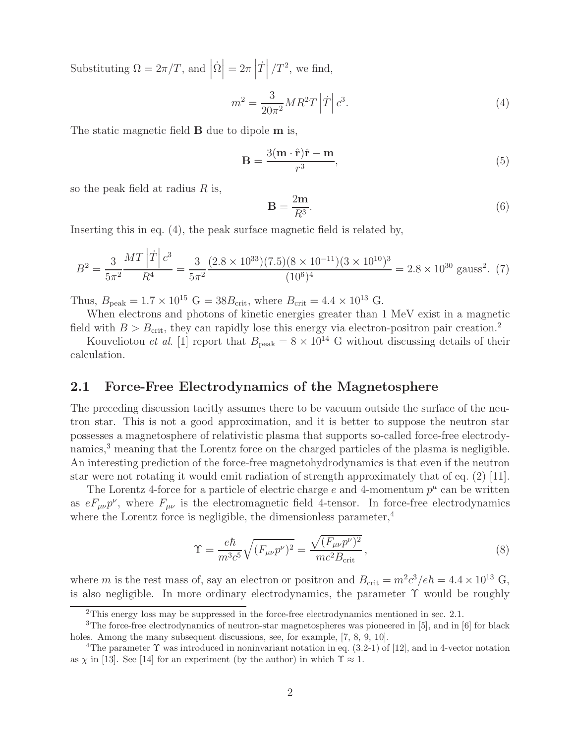Substituting  $\Omega = 2\pi/T$ , and  $\left| \dot{\Omega} \right| = 2\pi \left| \dot{T} \right|$  $\left| T^2 \right|$ , we find,

$$
m^2 = \frac{3}{20\pi^2}MR^2T\left|\dot{T}\right|c^3.
$$
\n<sup>(4)</sup>

The static magnetic field **B** due to dipole **m** is,

$$
\mathbf{B} = \frac{3(\mathbf{m} \cdot \hat{\mathbf{r}})\hat{\mathbf{r}} - \mathbf{m}}{r^3},\tag{5}
$$

so the peak field at radius  $R$  is,

$$
\mathbf{B} = \frac{2\mathbf{m}}{R^3}.\tag{6}
$$

Inserting this in eq. (4), the peak surface magnetic field is related by,

$$
B^2 = \frac{3}{5\pi^2} \frac{MT \left| \dot{T} \right| c^3}{R^4} = \frac{3}{5\pi^2} \frac{(2.8 \times 10^{33})(7.5)(8 \times 10^{-11})(3 \times 10^{10})^3}{(10^6)^4} = 2.8 \times 10^{30} \text{ gauss}^2. (7)
$$

Thus,  $B_{\text{peak}} = 1.7 \times 10^{15} \text{ G} = 38 B_{\text{crit}}$ , where  $B_{\text{crit}} = 4.4 \times 10^{13} \text{ G}$ .

When electrons and photons of kinetic energies greater than 1 MeV exist in a magnetic field with  $B > B_{\text{crit}}$ , they can rapidly lose this energy via electron-positron pair creation.<sup>2</sup>

Kouveliotou *et al.* [1] report that  $B_{\text{peak}} = 8 \times 10^{14}$  G without discussing details of their calculation.

#### **2.1 Force-Free Electrodynamics of the Magnetosphere**

The preceding discussion tacitly assumes there to be vacuum outside the surface of the neutron star. This is not a good approximation, and it is better to suppose the neutron star possesses a magnetosphere of relativistic plasma that supports so-called force-free electrodynamics,<sup>3</sup> meaning that the Lorentz force on the charged particles of the plasma is negligible. An interesting prediction of the force-free magnetohydrodynamics is that even if the neutron star were not rotating it would emit radiation of strength approximately that of eq. (2) [11].

The Lorentz 4-force for a particle of electric charge e and 4-momentum  $p^{\mu}$  can be written as  $eF_{\mu\nu}p^{\nu}$ , where  $F_{\mu\nu}$  is the electromagnetic field 4-tensor. In force-free electrodynamics where the Lorentz force is negligible, the dimensionless parameter,  $4$ 

$$
\Upsilon = \frac{e\hbar}{m^3 c^5} \sqrt{(F_{\mu\nu}p^{\nu})^2} = \frac{\sqrt{(F_{\mu\nu}p^{\nu})^2}}{mc^2 B_{\text{crit}}},\qquad(8)
$$

where m is the rest mass of, say an electron or positron and  $B_{\text{crit}} = m^2 c^3 / e \hbar = 4.4 \times 10^{13} \text{ G}$ , is also negligible. In more ordinary electrodynamics, the parameter  $\Upsilon$  would be roughly

<sup>&</sup>lt;sup>2</sup>This energy loss may be suppressed in the force-free electrodynamics mentioned in sec. 2.1.

<sup>3</sup>The force-free electrodynamics of neutron-star magnetospheres was pioneered in [5], and in [6] for black holes. Among the many subsequent discussions, see, for example, [7, 8, 9, 10].

<sup>&</sup>lt;sup>4</sup>The parameter  $\Upsilon$  was introduced in noninvariant notation in eq. (3.2-1) of [12], and in 4-vector notation as  $\chi$  in [13]. See [14] for an experiment (by the author) in which  $\Upsilon \approx 1$ .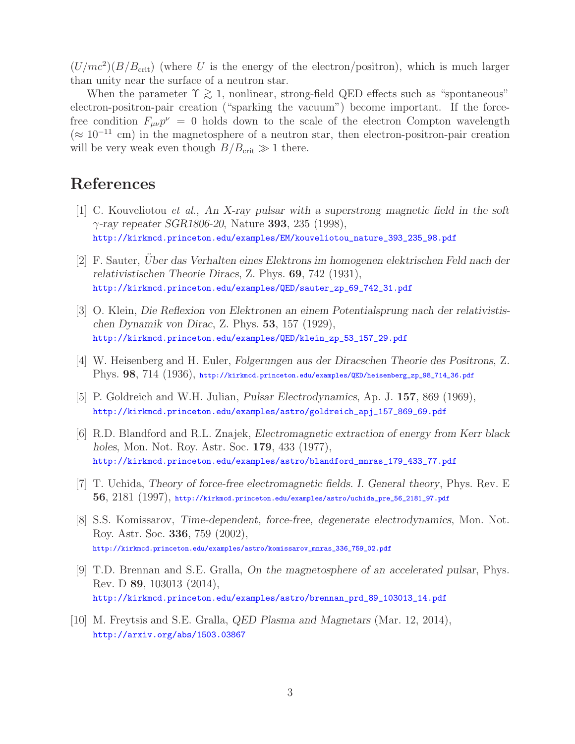$(U/mc<sup>2</sup>)(B/B<sub>crit</sub>)$  (where U is the energy of the electron/positron), which is much larger than unity near the surface of a neutron star.

When the parameter  $\Upsilon \gtrsim 1$ , nonlinear, strong-field QED effects such as "spontaneous" electron-positron-pair creation ("sparking the vacuum") become important. If the forcefree condition  $F_{\mu\nu}p^{\nu} = 0$  holds down to the scale of the electron Compton wavelength  $(\approx 10^{-11}$  cm) in the magnetosphere of a neutron star, then electron-positron-pair creation will be very weak even though  $B/B_{\text{crit}} \gg 1$  there.

# **References**

- [1] C. Kouveliotou *et al.*, *An X-ray pulsar with a superstrong magnetic field in the soft* γ*-ray repeater SGR1806-20*, Nature **393**, 235 (1998), http://kirkmcd.princeton.edu/examples/EM/kouveliotou\_nature\_393\_235\_98.pdf
- [2] F. Sauter, *Uber das Verhalten eines Elektrons im homogenen elektrischen Feld nach der relativistischen Theorie Diracs*, Z. Phys. **69**, 742 (1931), http://kirkmcd.princeton.edu/examples/QED/sauter\_zp\_69\_742\_31.pdf
- [3] O. Klein, *Die Reflexion von Elektronen an einem Potentialsprung nach der relativistischen Dynamik von Dirac*, Z. Phys. **53**, 157 (1929), http://kirkmcd.princeton.edu/examples/QED/klein\_zp\_53\_157\_29.pdf
- [4] W. Heisenberg and H. Euler, *Folgerungen aus der Diracschen Theorie des Positrons*, Z. Phys. **98**, 714 (1936), http://kirkmcd.princeton.edu/examples/QED/heisenberg\_zp\_98\_714\_36.pdf
- [5] P. Goldreich and W.H. Julian, *Pulsar Electrodynamics*, Ap. J. **157**, 869 (1969), http://kirkmcd.princeton.edu/examples/astro/goldreich\_apj\_157\_869\_69.pdf
- [6] R.D. Blandford and R.L. Znajek, *Electromagnetic extraction of energy from Kerr black holes*, Mon. Not. Roy. Astr. Soc. **179**, 433 (1977), http://kirkmcd.princeton.edu/examples/astro/blandford\_mnras\_179\_433\_77.pdf
- [7] T. Uchida, *Theory of force-free electromagnetic fields. I. General theory*, Phys. Rev. E **56**, 2181 (1997), http://kirkmcd.princeton.edu/examples/astro/uchida\_pre\_56\_2181\_97.pdf
- [8] S.S. Komissarov, *Time-dependent, force-free, degenerate electrodynamics*, Mon. Not. Roy. Astr. Soc. **336**, 759 (2002), http://kirkmcd.princeton.edu/examples/astro/komissarov\_mnras\_336\_759\_02.pdf
- [9] T.D. Brennan and S.E. Gralla, *On the magnetosphere of an accelerated pulsar*, Phys. Rev. D **89**, 103013 (2014), http://kirkmcd.princeton.edu/examples/astro/brennan\_prd\_89\_103013\_14.pdf
- [10] M. Freytsis and S.E. Gralla, *QED Plasma and Magnetars* (Mar. 12, 2014), http://arxiv.org/abs/1503.03867